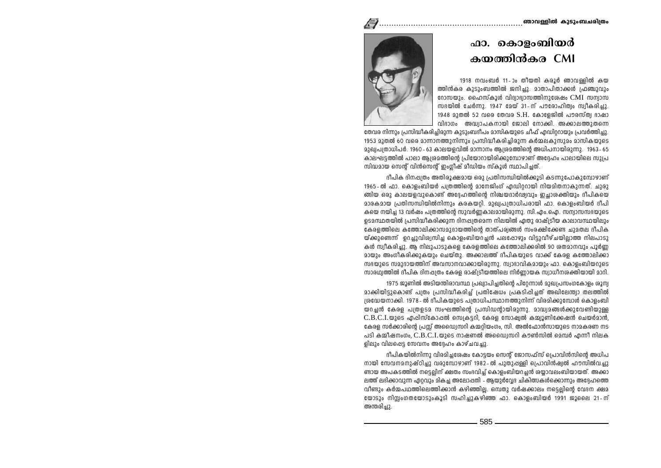## ഫാ. കൊളംബിയർ കയത്തിൻകര CMI

1918 നവംബർ 11-ാം തീയതി കരൂർ ഞാവള്ളിൽ കയ ത്തിൻകര കുടുംബത്തിൽ ജനിച്ചു. മാതാപിതാക്കൾ ഫ്രഞ്ചുവും റോസയും, ഹൈസ്കൂൾ വിദ്വാഭ്വാസത്തിനുശേഷം CMI സമ്പാസ സഭയിൽ ചേർന്നു. 1947 മേയ് 31-ന് പൗരോഹിത്വം സ്വീകരിച്ചു. 1948 മുതൽ 52 വരെ തേവര S.H. കോളേജിൽ പൗരസ്ത്വ ഭാഷാ വിഭാഗം അദ്ധ്വാപകനായി ജോലി നോക്കി. അക്കാലത്തുതന്നെ



്യേവര നിന്നാം പ്രസിദ്ധീകരിച്ചിരാന്ന കാടാംബദീപം മാസികയാടെ ചിഫ് ഫന്ധിററായാം പ്രവർത്തിച്ചു. 1953 മുതൽ 60 വരെ മാന്നാനത്തുനിന്നും പ്രസിദ്ധീകരിച്ചിരുന്ന കർമ്മലകുസുമം മാസികയുടെ . മാഖ്വപ്രതാധിപർ, 1960 - 63 കാലയളവിൽ മാന്നാനം അശമത്തിന്റെ അധിപനായിരുന്നു. . 1963 - 65 കാലഘട്ടത്തിൽ പാലാ ആശ്രമത്തിന്റെ പ്രിയോറായിരിക്കുമ്പോഴാണ് അദ്ദേഹം പാലായിലെ സുപ്ര സിദ്ധമായ സെന്റ് വിൻസെന്റ് ഇംഗ്ലീഷ് മീഡിയം സ്കൂൾ സ്ഥാപിച്ചത്.

ദീപിക ദിനപ്പതം അതിരൂക്ഷമായ ഒരു പ്രതിസന്ധിയിൽക്കൂടി കടന്നുപോകുമ്പോഴാണ് 1965-ൽ ഫാ. കൊളംബിയർ പത്രത്തിന്റെ മാനേജിംഗ് എഡിറ്ററായി നിയമിതനാകുന്നത്. ചുരു .<br>ഞിയ ഒരു കാലയളവുകൊണ്ട് അദേഹത്തിന്റെ നിശ്ചയദാർഢവും ഇചാശക്തിയും ദീപികയെ മാരകമായ പ്രതിസന്ധിയിൽനിന്നും കരകയറി. മുഖ്വപത്രാധിപരായി ഫാ. കൊളംബിയർ ദീപി കയെ നയിച്ച 13 വർഷം പത്രത്തിന്റെ സുവർണ്ണകാലമായിരുന്നു. സി.എം.ഐ. സന്വാസസഭയുടെ ളൊന്ധ്ഥതയിൽ പ്രസിദ്ധീകരിക്കാന്ന ദിനപ്പതമെന്ന നിലയിൽ ഫതാ രാഷ്ട്രീയ കാലാവസ്ഥയിലാം കേരളത്തിലെ കത്തോലിക്കാസമുദായത്തിന്റെ താത്പര്വങ്ങൾ സംരക്ഷിക്കേണ്ട ചുമതല ദീപിക യ്ക്കുണ്ടെന്ന് ചൊവിശ്വസിച്ച കൊളംബിയറചൻ പലപ്പോഴും വിട്ടുവീഴ്ചയിലാത്ത നിലപാടു കൾ സ്വീകരിച്ചു. അ നിലുപാടുകളെ കേരളത്തിലെ കത്തോലിക്കരിൽ 90 ശതമാനവും പൂർണ മായും അംഗീകരിക്കുകയും ചെയ്തു. അക്കാലത്ത് ദീപികയുടെ വാക്ക് കേരള കത്തോലിക്കാ സഭയുടെ സമുദായത്തിന് അവസാനവാക്കായിരുന്നു. സ്വാഭാവികമായും ഫാ. കൊളംബിയറുടെ സാരഥ്വത്തിൽ ദീപിക ദിനപ്പതം കേരള രാഷ്ട്രീയത്തിലെ നിർണായക സ്വാധീനശക്തിയായി മാറി.

1975 ജൂണിൽ അടിയന്തിരാവസ്ഥ പ്രഖ്വാപിച്ചതിന്റെ പിറേന്നാൾ മുഖപ്രസംഗകോളം ശൂന്വ മാക്കിയിട്ടുകൊണ്ട് പത്രം പ്രസിദ്ധീകരിച്ച് പ്രതിഷേധം പ്രകടിപ്പിചത് അഖിലേന്ത്വാ തലത്തിൽ ശ്രദ്ധേയനാക്കി. 1978- ൽ ദീപികയുടെ പത്രാധിപസ്ഥാനത്തുനിന്ന് വിരമിക്കുമ്പോൾ കൊളംബി യറച്ചൻ കേരള പത്രഉടമ സംഘത്തിന്റെ പ്രസിഡന്റായിരുന്നു. മാദ്ധ്വമങ്ങൾക്കുവേണ്ടിയുള്ള  $C.B.C.I.$ യുടെ എപ്പിസ്കോപ്പൽ സെക്രടറി. കേരള സോഷ്യൽ കമ്മ്പൂണിക്കേഷൻ ചെയർമാൻ. കേരള സർക്കാരിന്റെ പ്രസ്സ് അഡ്വൈസറി കമ്മറിയംഗം, സി. അൽഫോൻസായുടെ നാമകരണ നട പടി കമ്മീഷനംഗം, C.B.C.I.യുടെ നാഷണൽ അധ്വൈസറി കൗൺസിൽ മെമ്പർ എന്നീ നിലക ളിലും വിലപ്പെട്ട സേവനം അദേഹം കാഴ്ചവച്ചു.

ദീപികയിൽനിന്നു വിരമിച്ചശേഷം കോട്ടയം സെന്റ് ജോസഫ്സ് പ്രൊവിൻസിന്റെ അധിപ നായി സേവനമനുഷ്ഠിച്ചു വരുമ്പോഴാണ് 1982-ൽ പുതുപ്പള്ളി പ്രൊവിൻഷ്വൽ ഹൗസിൽവച്ചു ണ്ടായ അപകടത്തിൽ നട്ടെല്ലിന് ക്ഷതം സംഭവിച്ച് കൊളംബിയറച്ചൻ ശയാവലംബിയായത്. അക്കാ ലത്ത് ലഭിക്കാവുന്ന ഏറവും മികച്ച അലോപ്പതി - ആയുർവ്വേദ ചികിത്സകൾക്കൊന്നും അദ്ദേഹത്തെ വീണ്ടാം കർമ്മപഥത്തിലെത്തിക്കാൻ കഴിഞ്ഞില. ഒമ്പതാ വർഷക്കാലം നടെലിൻെ വേദന ക്ഷമ യോടും നിസംഗതയോടുംകൂടി സഹിച്ചുകഴിഞ്ഞ ഫാ. കൊളംബിയർ 1991 ജൂലൈ 21-ന് അന്തരിച്ചു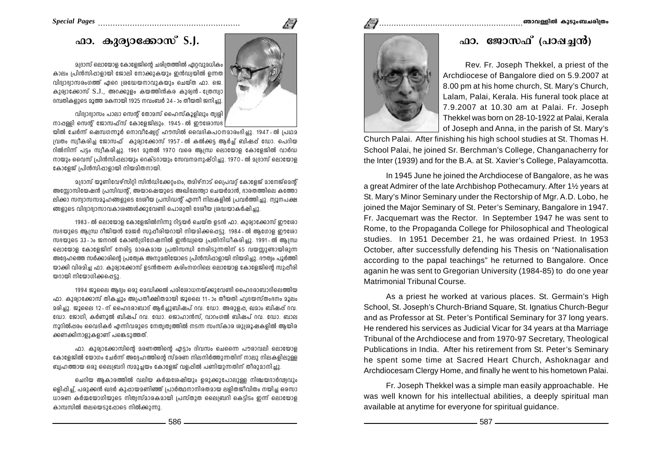# **^m. Ipcym-t°mkv S.J.**

മദ്രാസ് ലൊയോള കോളേജിന്റെ ചരിത്രത്തിൽ ഏറവാമധികം കാലം <sub>(</sub>പിൻസിഷാളായി ജോലി നോക്കുകയും ഇൻഡ്വയിൽ ഉന്നത വിദ്വാഭ്വാസരംഗത്ത് ഏറെ ശ്രദ്ധേയനാവുകയും ചെയ്ത ഫാ. ജെ. കുര്വാക്കോസ് S.J., അറക്കുളം കയത്തിൻകര കുര്വൻ-ഗ്രേസ്വാ  $R$ മ്പതികളുടെ മൂത്ത മകനായി 1925 നവംബർ 24 - ാം തീയതി ജനിച്ചു.

വിദ്വാഭ്വാസം പാലാ സെൻ് തോമസ് ഹൈസ്കൂളിലും ത്വരി  $\mathfrak m$ ാപ്പള്ളി സെന്റ് ജോസഫ്സ് കോളേജിലും. 1945 - ൽ ഈരോസഭ

യിൽ ചേർന്ന് ഷെമ്പഗന്നൂർ നൊവീഷ്വേറ്റ് ഹൗസിൽ വൈദികപഠനമാരംഭിച്ചു. 1947-ൽ പ്രഥമ  $101$ തം സ്വീകരിച ജോസഫ് കുര്വാക്കോസ് 1957-ൽ കൽക്കട അർച് ബിഷപ് ഡോ. പെറിയ റിൽനിന്ന് പട്ടം സ്വീകരിച്ചു. 1961 മുതൽ 1970 വരെ ആന്ധ്ര ലൊയോള കോളേജിൽ വാർഡ നായും വൈസ് പ്രിൻസിഷലായും റെക്ടറായും സേവനമനുഷ്ഠിച്ചു. 1970 - ൽ മദ്രാസ് ലൊയോള കോളേജ് പ്രിൻസിപ്പാളായി നിയമിതനായി.

 $\Omega$ ദ്രാസ് യൂണിവേഴ്സിറ്റി സിൻഡിക്കേറ്റംഗം, തമിഴ്നാട് പ്രൈവറ്റ് കോളേജ് മാനേജ്മെന്റ് അസ്ലോസിയേഷൻ പ്രസിഡന്റ്, അയാഷെയുടെ അഖിലേന്ത്വാ ചെയർമാൻ, ദാരതത്തിലെ കത്തോ ലിക്കാ സന്വാസസമൂഹങ്ങളുടെ ദേശീയ പ്രസിഡന്റ് എന്നീ നിലകളിൽ പ്രവർത്തിച്ചു. ന്വൂനപക്ഷ ങ്ങളുടെ വിദ്വാഭ്വാസാവകാശങ്ങൾക്കുവേണ്ടി പൊരുതി ദേശീയ ശ്രദ്ധയാകർഷിച്ചു.

1983-ൽ ലൊയോള കോളേജിൽനിന്നു റിട്ടയർ ചെയ്ത ഉടൻ ഫാ. കുര്വാക്കോസ് ഈരോ സഭയുടെ ആന്ധ റീജിയൻ മേജർ സുഷീരിയറായി നിയമിക്കപ്പെട്ടു. 1984-ൽ ആഗോള ഈശോ സഭയുടെ 33-ാം ജനറൽ കോൺഗ്രിഗേഷനിൽ ഇൻഡ്വയെ പ്രതിനിധീകരിച്ചു. 1991-ൽ ആന്ധ്ര ക്വായോള കോളേജിന് നേരിട്ട മാരകമായ പ്രതിസന്ധി നേരിടുന്നതിന് 65 വയസ്സുണ്ടായിരുന്ന  $\overline{a}$ അദേഹത്തെ സർക്കാരിന്റെ പ്രത്വേക അനുമതിയോടെ പ്രിൻസിപ്പാളായി നിയമിച്ചു. ദൗത്വം പൂർത്തി യാക്കി വിരമിച്ച ഫാ. കുര്വാക്കോസ് ഉടൻതന്നെ കരിംനഗറിലെ ലൊയോള കോളേജിന്റെ സുപ്പീരി യറായി നിയോഗിക്കപ്പെട്ടു.

1994 ജൂലൈ ആദ്യം ഒരു മെഡിക്കൽ പരിശോധനയ്ക്കുവേണ്ടി ഹൈദരാബാദിലെത്തിയ  $\Delta$ 1). കുര്വാക്കോസ് തികച്ചും അപ്രതീക്ഷിതമായി ജൂലൈ 11-ാം തീയതി ഹ്വദയസ്തംഭനം മൂലം മരിച്ചു. ജൂലൈ 12 - ന് ഹൈദരാബാദ് ആർച്ചുബിഷപ് റവ. ഡോ. അരുളപ്പ, ഖമാം ബിഷപ് റവ.  $\epsilon$ ഡാ. ജോഗി, കർണൂൽ ബിഷപ് റവ.  $\epsilon$ ഡാ. ജൊഹാൻസ്, വാറംഗൽ ബിഷപ് റവ.  $\epsilon$ ഡാ. ബാല നൂറിൽപ്പരം വൈദികർ എന്നിവരുടെ നേത്വത്വത്തിൽ നടന്ന സംസ്കാര ശു്വശൂഷകളിൽ ആയിര ക്കണക്കിനാളുകളാണ് പങ്കെടുത്തത്.

ഹാ. കുര്വാക്കോസിൻെ മരണത്തിൻെ ഹാടാം ദിവസം ചെന്നൈ പൗരാവലി ലൊയോള കോളേജിൽ യോഗം ചേർന്ന് അദ്ദേഹത്തിന്റെ സ്മരണ നിലനിർത്തുന്നതിന് നാലു നിലകളിലുള്ള ബ്വഹത്തായ ഒരു ലൈബ്രറി സമുച്ചയം കോളേജ് വളപ്പിൽ പണിയുന്നതിന് തീരുമാനിച്ചു.

<u>പെറിയ ആകാരത്തിൽ വലിയ കർമ്മശേഷിയും ഉരുക്കുപോലുള്ള നിത്</u>ചയദാർഢ്വവും ഒളിപ്പിച്ച്, പരുക്കൻ ഖദർ കുപ്പായമണിഞ്ഞ് |പാർത്ഥനാനിരതമായ ലളിതജീവിതം നയിച്ച ഒരസാ  $\omega$ ാരണ കർമ്മയോഗിയാടെ നിത്വസ്മാരകമായി പ്രസ്താത ലൈബ്രറി കെടിടം ഇന്ന് ലൊയോള കാമ്പസിൽ തലയെടുപ്പോടെ നിൽക്കുന്നു.

586



Rev. Fr. Joseph Thekkel, a priest of the Archdiocese of Bangalore died on 5.9.2007 at 8.00 pm at his home church, St. Mary's Church, Lalam, Palai, Kerala. His funeral took place at 7.9.2007 at 10.30 am at Palai. Fr. Joseph Thekkel was born on 28-10-1922 at Palai, Kerala of Joseph and Anna, in the parish of St. Mary's

Church Palai. After finishing his high school studies at St. Thomas H. School Palai, he joined Sr. Berchman's College, Changanacherry for the Inter (1939) and for the B.A. at St. Xavier's College, Palayamcotta.

In 1945 June he joined the Archdiocese of Bangalore, as he was a great Admirer of the late Archbishop Pothecamury. After 1½ years at St. Mary's Minor Seminary under the Rectorship of Mgr. A.D. Lobo, he joined the Major Seminary of St. Peter's Seminary, Bangalore in 1947. Fr. Jacquemart was the Rector. In September 1947 he was sent to Rome, to the Propaganda College for Philosophical and Theological studies. In 1951 December 21, he was ordained Priest. In 1953 October, after successfully defending his Thesis on "Nationalisation according to the papal teachings" he returned to Bangalore. Once aganin he was sent to Gregorian University (1984-85) to do one year Matrimonial Tribunal Course.

As a priest he worked at various places. St. Germain's High School, St. Joseph's Church-Briand Square, St. Ignatius Church-Begur and as Professor at St. Peter's Pontifical Seminary for 37 long years. He rendered his services as Judicial Vicar for 34 years at tha Marriage Tribunal of the Archdiocese and from 1970-97 Secretary, Theological Publications in India. After his retirement from St. Peter's Seminary he spent some time at Sacred Heart Church, Ashoknagar and Archdiocesam Clergy Home, and finally he went to his hometown Palai.

Fr. Joseph Thekkel was a simple man easily approachable. He was well known for his intellectual abilities, a deeply spiritual man available at anytime for everyone for spiritual guidance.

587

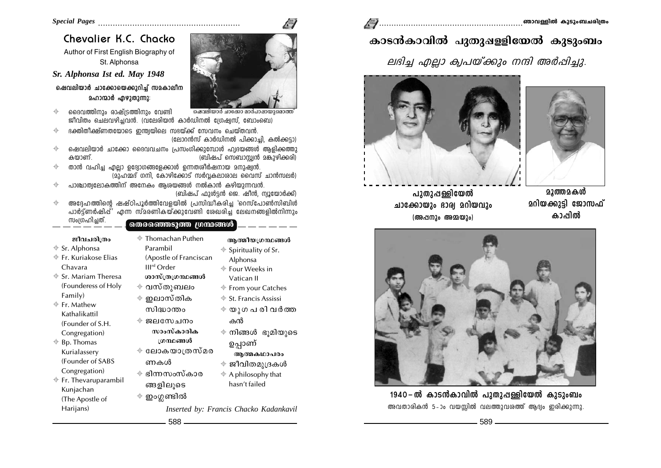## Chevalier K.C. Chacko

Author of First English Biography of St. Alphonsa

### Sr. Alphonsa Ist ed. May 1948

ഷെവലിയാർ ചാക്കോയെക്കുറിച്ച് സമകാലീന മഹാന്മാർ ഹുഴാതാന്നാ:

- ദൈവത്തിനും രാഷ്ട്രത്തിനും വേണ്ടി  $\Rightarrow$ ഷെവലിയാർ ചാക്കോ മാർപാഷായുമൊത്ത ജീവിതം ചെലവഴിച്ചവൻ. (വലേരിയൻ കാർഡിനൽ ശ്രേഷ്യസ്, ബോംബെ)
- ഭക്തിതിക്ഷ്ണതയോടെ ഇന്ത്വയിലെ സഭയ്ക്ക് സേവനം ചെയ്തവൻ  $\Rightarrow$ (ലോറൻസ് കാർഡിനൽ പിക്കാച്ചി, കൽക്കട്ടാ)
- ഷെവലിയാർ ചാക്കോ ദൈവവചനം പ്രസംഗിക്കുമ്പോൾ ഹ്വദയങ്ങൾ ആളിക്കത്തു  $\color{red} \bigoplus$ കയാണ് (ബിഷപ് സെബാസ്റ്റ്യൻ മങ്കുഴിക്കരി)
- താൻ വഹിച്ച എല്ലാ ഉദ്വോഗങ്ങളേക്കാൾ ഉന്നതശീർഷനായ മനുഷ്വൻ.  $\color{red} \bigoplus$ (മുഹമ്മദ് ഗനി, കോഴിക്കോട് സർവകലാശാല വൈസ് ചാൻസലർ)
- പാത്വാത്വലോകത്തിന് അനേകം അശയങ്ങൾ നൽകാൻ കഴിയാന്നവൻ.  $\leftrightarrow$ (ബിഷപ് ഫുൾട്ടൻ ജെ. ഷീൻ, ന്വൂയോർക്ക്)
- അദേഹത്തിന്റെ ഷഷ്ഠിപൂർത്തിവേളയിൽ പ്രസിദ്ധീകരിച്ച 'റെസ്പോൺസിബിൾ  $\color{red} \Leftrightarrow$ പാർട്ട്ണർഷിപ്പ്' എന്ന സ്മരണികയ്ക്കുവേണ്ടി ശേഖരിച്ച ലേഖനങ്ങളിൽനിന്നും
- സംഗ്രഹിച്ചത്.  $\oplus$  Thomachan Puthen ജീവചരിത്രം അത്മീയഗ്രന്ഥങ്ങൾ Paramhil  $\div$  Sr. Alphonsa  $\triangleq$  Spirituality of Sr. ⊕ Fr. Kuriakose Elias (Apostle of Franciscan Alphonsa  $III<sup>rd</sup> Order$ Chavara  $\textcolor{red}{\Phi}$  Four Weeks in  $\textcolor{red}{\bigcirc}$  Sr. Mariam Theresa ശാസ്ത്രഗ്രന്ഥങ്ങൾ Vatican II (Founderess of Holy ⊕ വസ്തുബലം  $\div$  From your Catches Family) ⊕ ഇലാസ്തിക  $\textcolor{red}{\bigoplus}$  St. Francis Assissi  $\triangleq$  Fr. Mathew സിദ്ധാന്തപ  $\phi \circ \phi$ ുഗ പ രി വർത്ത Kathalikattil ⊕ ജലസേചനം കൻ (Founder of S.H. സാംസ്കാരിക  $\triangleq$  നിങ്ങൾ ഭൂമിയുടെ Congregation) ശനങ്ങൾ  $\triangleq$  Bp. Thomas ഉപ്പാണ് ⊕ ലോകയാത്രസ്മര Kurialassery ആത്മകഥാപരം (Founder of SABS ണകൾ  $\textcolor{red}{\Phi}$  ജീവിതമുദ്രകൾ Congregation) ⊕ ഭിന്നസംസ്കാര  $\ddot{\phi}$  A philosophy that  $\textcolor{blue}{\bigcirc}$  Fr. Thevaruparambil hasn't failed ങ്ങളിലൂടെ Kunjachan  $\Phi$  ഇംഗ്ലണ്ടിൽ (The Apostle of Harijans)

588

Inserted by: Francis Chacko Kadankavil







പാതാപ്പള്ളിയേൽ ചാക്കോയും ഭാര്വ മറിയവും (അപ്പനാം അമ്മയാം)



കാടൻകാവിൽ പുതുഷള്ളിയേൽ കുടുംബം

ലഭിച്ച എല്ലാ ക്വപയ്ക്കും നന്ദി അർപ്പിച്ചു.

1940-ൽ കാടൻകാവിൽ പുതുപ്പള്ളിയേൽ കുടുംബം അവതാരികൻ 5-ാം വയസ്സിൽ വലത്തുവശത്ത് ആദ്യം ഇരിക്കുന്നു.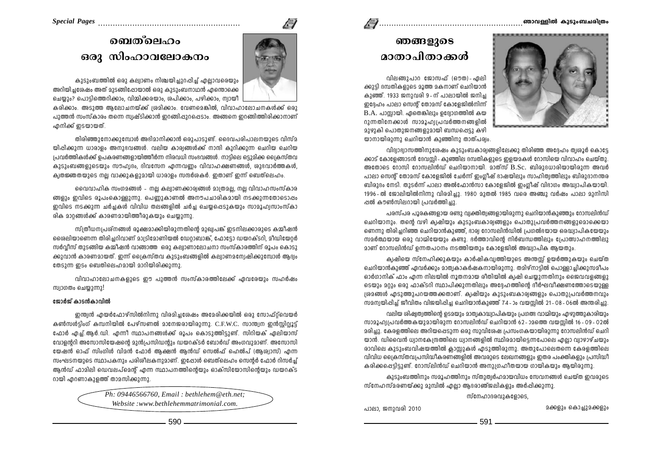## 

## $\sqrt{ }$



## ഞങ്ങളുടെ മാതാപിതാക്കൾ

വിലങ്ങുപാവ ജോസഫ് (ഔത) - ഏലി ക്കുട്ടി ദമ്പതികളുടെ മൂത്ത മകനാണ് ചെറിയാൻ കുഞ്ഞ്. 1933 ജനുവരി 9-ന് പാലായിൽ ജനിച്ച ഇദേഹം പാലാ സെൻ് തോമസ് കോളേജിൽനിന്ന്  $B.A.$  പാസ്സായി. ഏതെങ്കിലും ഉദ്വോഗത്തിൽ കയ റാന്നതിനേക്കാൾ സാമൂഹ്വപ്രവർത്തനങ്ങളിൽ മുഴുകി പൊതുജനങ്ങളുമായി ബന്ധപ്പെട്ടു കഴി യാനായിരുന്നു ചെറിയാൻ കുഞ്ഞിനു താത്പര്വം

വിദ്വാഭ്വാസത്തിനുശേഷം കുടുംബകാര്വങ്ങളിലേക്കു തിരിഞ്ഞ അദ്ദേഹം ത്വശൂർ കൊട്ടേ ക്കാട് കോളേങ്ങാടൻ ദേവസി - കാഞ്ഞില ദമ്പതികളുടെ ഇളയമകൾ റോസിയെ വിവാഹം ചെയ്തു. അതോടെ റോസി റോസലിൻഡ് ചെറിയാനായി. മാത്സ് B.Sc. ബിരുദധാരിയായിരുന്ന അവർ പാലാ സെന്റ് തോമസ് കോളേജിൽ ചേർന്ന് ഇംഗ്ലീഷ് ഭാഷയിലും സാഹിത്വത്തിലും ബിരുദാനന്തര ബിരുദം നേടി. തുടർന്ന് പാലാ അൽഫോൻസാ കോളേജിൽ ഇംഗീഷ് വിഭാഗം അദ്ധ്വാപികയായി. 1996-ൽ ജോലിയിൽനിന്നു വിരമിച്ചു. 1980 മുതൽ 1985 വരെ അഞ്ചു വർഷം പാലാ മുനിസി ഷൽ കൗൺസിലറായി പ്രവർത്തിച്ചു

പരസ്പര പൂരകങ്ങളായ രണ്ടു വ്വക്തിത്വങ്ങളായിരുന്നു ചെറിയാൻകുഞ്ഞും റോസലിൻഡ് ചെറിയാനും. തന്റെ വഴി ക്വഷിയും കുടുംബകാര്വങ്ങളും പൊതുപ്രവർത്തനങ്ങളുമൊക്കെയാ ണെന്നു തിരിച്ചറിഞ്ഞ ചെറിയാൻകുഞ്ഞ്, ഭാര്വ റോസലിൻഡിൽ പ്രഗൽഭയായ ഒരദ്ധ്വാപികയേയും സമർത്ഥയായ ഒരു വാമിയേയും കണ്ടു. ഭർത്താവിന്റെ നിർബന്ധത്തിലും പ്രോത്സാഹനത്തിലു മാണ് റോസലിൻഡ് ഉന്നതപഠനം നടത്തിയതും കോളേജിൽ അദ്ധ്വാപിക ആയതും.

ക്വഷിയെ സ്നേഹിക്കുകയും കാർഷികവ്വത്തിയുടെ അന്തസ്സ് ഉയർത്തുകയും ചെയ്ത ചെറിയാൻകാഞ്ഞ് ഏവർക്കും മാത്രക്ക്കർഷകനായിരുന്നു. തമിഴ്നാടിൽ പൊള്ളാചിക്കുസമീപം ഓർഗാനിക് ഫാം എന്ന നിലയിൽ നൂതനമായ രീതിയിൽ ക്വഷി ചെയ്യുന്നതിനും ജൈവവളങ്ങളു ടെയും മറും ഒരു ഫാക്ടറി സ്ഥാപിക്കുന്നതിലും അദ്ദേഹത്തിന്റെ ദീർഘവീക്ഷണത്തോടെയുള്ള ശ്രമങ്ങൾ എടുത്തുപറയത്തക്കതാണ്. കൃഷിയും കുടുംബകാര്യങ്ങളും പൊതുപ്രവർത്തനവും സമന്വയിപ്പിച്ച് ജീവിതം വിജയിപ്പിച്ച ചെറിയാൻകുഞ്ഞ് 74-ാം വയസ്സിൽ 21-08-06ൽ അന്തരിച്ചു.

വലിയ ശിഷ്വത്വത്തിന്റെ ഉടമയും മാത്വകാദ്ധ്വാപികയും പ്രഗത്ഭ വാഗ്മിയും എഴുത്തുകാരിയും സാദാഹ്വപവർത്തകയാദായിരാന്ന റോസലിൻഡ് ചെറിയാൻ 62–ാമത്തെ വയസിൽ 16–09–02ൽ മരിച്ചു. കേരളത്തിലെ അറിയപ്പെടുന്ന ഒരു സുവിശേഷ പ്രസംഗകയായിരുന്നു റോസലിൻഡ് ചെറി യാൻ. ഡിവൈൻ ധ്വാനകേന്ദ്രത്തിലെ ധ്വാനങ്ങളിൽ സ്ഥിരമായിട്ടെന്നപോലെ എല്ലാ വ്വാഴാഴ്ചയും രാവിലെ കുടുംബവിഷയത്തിൽ കായുകൾ എടുത്തിരുന്നു. അതുപോലെതന്നെ കേരളത്തിലെ വിവിധ ക്രൈസ്തവപ്രസിദ്ധീകരണങ്ങളിൽ അവരുടെ ലേഖനങ്ങളും ഇതര പംക്തികളും പ്രസിദ്ധീ കരിക്കപ്പെട്ടിട്ടുണ്ട്. റോസ്ലിൻഡ് ചെറിയാൻ അനുഗ്രഹീതയായ ഗായികയും ആയിരുന്നു.

കാടാംബത്തിനാം സമാഹത്തിനാം സ്താത്വർഹമായവിധം സേവനങ്ങൾ ചെയ്ത ഇവരാടെ സ്നേഹസ്മരണയ്ക്കു മുമ്പിൽ എല്ലാ ആദരാഞ്ജലികളും അർപ്പിക്കുന്നു.

സ്നേഹാദരവുകളോടെ,

പാലാ, ജനുവരി 2010

മക്കളും കൊച്ചുമക്കളും

# മബത്ലെഹം ഒരു സിംഹാവലോകനം

കാടാംബത്തിൽ ഒരാ കല്വാണം നിശ്ചയിചാറപ്പിച് ഫലാവരെയാം അറിയിചശേഷം അത് മാടങ്ങിപ്പോയാൽ ഒരു കാടാംബനാഥൻ എന്തൊക്കെ ചെയ്യും? പൊട്ടിത്തെറിക്കാം, വിമ്മിക്കരയാം, ശപിക്കാം, പഴിക്കാം, ന്വായീ

കരിക്കാം. അടുത്ത ആലോചനയ്ക്ക് ശ്രമിക്കാം. വേണമെങ്കിൽ. വിവാഹാലോചനകൾക്ക് ഒരാ പുത്തൻ സംസ്കാരം തന്നെ സ്വഷ്ടിക്കാൻ ഇറങ്ങിപ്പുറപ്പെടാം. അങ്ങനെ ഇറങ്ങിത്തിരിക്കാനാണ് എനിക്ക് ഇടയായത്.

തിരിഞ്ഞുനോക്കുമ്പോൾ അഭിമാനിക്കാൻ ഒരുപാടുണ്ട്. ദൈവപരിപാലനയുടെ വിസ്മ യിപ്പിക്കുന്ന ധാരാളം അനുഭവങ്ങൾ. വലിയ കാര്വങ്ങൾക്ക് നാന്ദി കുറിക്കുന്ന ചെറിയ ചെറിയ ്വപവർത്തികൾക്ക് പെകരണങ്ങളായിത്തീർന്ന നിരവധി സംഭവങ്ങൾ. നാടിലെ ഒട്ടുമിക്ക ചൈസ്തവ കുടുംബങ്ങളുടെയും സൗഹ്വദം, ദിവസേന എന്നവണം വിവാഹക്ഷണങ്ങൾ, ശുഭവാർത്തകൾ, ക്വതജ്ഞതയുടെ നല്ല വാക്കുകളുമായി ധാരാളം സന്ദർശകർ. ഇതാണ് ഇന്ന് ബെത്ലെഹം.

വൈവാഹിക സംഗമങ്ങൾ - നല്ല കല്വാണക്കാര്വങ്ങൾ മാത്രമല്ല, നല്ല വിവാഹസംസ്കാര ങ്ങളും ഇവിടെ രൂപംകൊള്ളുന്നു. പെണുകാണൽ അനൗപചാരികമായി നടക്കുന്നതോടൊപ്പം ഇവിടെ നടക്കുന്ന ചർച്ചകൾ വിവിധ തലങ്ങളിൽ ചർച്ച ചെയ്യപ്പെടുകയും സാമൂഹ്വസാംസ്കാ രിക മാറങ്ങൾക്ക് കാരണമായിത്തീരുകയും ചെയ്യുന്നു.

സ്ത്രീധനപ്രശ്നങ്ങൾ രൂക്ഷമാക്കിയിരുന്നതിന്റെ മുഖ്വപങ്ക് ഇടനിലക്കാരുടെ കമ്മീഷൻ രൈലിയാണെന്ന തിരിച്ചറിവാണ് മാട്രിമോണിയൽ ഡേറാബാങ്ക്, ഫോട്ടോ ഡയറക്ടറി, മീഡിയേറർ സർവീസ് തുടങ്ങിയ കമ്മീഷൻ വാങ്ങാത്ത ഒരു കല്വാണാലോചനാ സംസ്കാരത്തിന് രൂപം കൊടു ക്കുവാൻ കാരണമായത്. ഇന്ന് ക്രൈസ്തവ കുടുംബങ്ങളിൽ കല്വാണമന്വേഷിക്കുമ്പോൾ ആദ്വം തേടുന്ന ഇടം ബെതിലെഹമായി മാറിയിരിക്കുന്നു

വിവാഹാലോചനകളുടെ ഈ പുത്തൻ സംസ്കാരത്തിലേക്ക് ഏവരേയും സഹർഷം സ്വാഗതം ചെയാന്നാ!

#### ജോർജ് കാടൻകാവിൽ

ഇന്ത്യൻ എയർഫോഴ്സിൽനിന്നു വിരമിച്ചശേഷം അമേരിക്കയിൽ ഒരു സോഫ്റ്റ്വെയർ കൺസൾട്ടിംഗ് കമ്പനിയിൽ പേഴ്സണൽ മാനേജരായിരുന്നു. C.F.W.C. സാന്ത്വന ഇൻസ്റ്റിറ്റ്വൂട്ട് ഫോർ എച്ച്.ആർ.ഡി. എന്നീ സ്ഥാപനങ്ങൾക്ക് രൂപം കൊടുത്തിട്ടുണ്ട്. സിറിയക് ഏലിയാസ് വോളന്ററി അസോസിയേഷന്റെ മുൻപ്രസിഡന്റും ഡയറക്ടർ ബോർഡ് അംഗവുമാണ്. അസോസി യേഷൻ ഓഫ് സിംഗിൾ വിമൻ ഫോർ ആക്ഷൻ ആൻഡ് സെൽഫ് ഹെൽപ് (ആശ്വാസ്) എന്ന സംഘടനയുടെ സ്ഥാപകനും പരിശീലകനുമാണ്. ഇപ്പോൾ ബെത്ലെഹം സെന്റർ ഫോർ റിസർച്ച് ആൻഡ് ഫാമിലി ഡെവലപ്മെന്റ് എന്ന സ്ഥാപനത്തിന്റെയും ഓക്സിയോസിന്റെയും ഡയറക്ട റായി എറണാകുളത്ത് താമസിക്കുന്നു.

> $Ph: 09446566760$ , Email: bethlehem@eth.net; Website:www.bethlehemmatrimonial.com.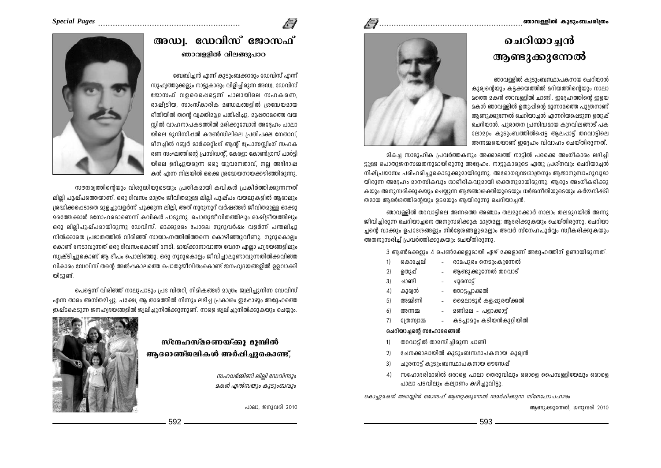# ചെറിയാച്ചൻ അണ്ടുക്കുന്നേൽ

ഞാവള്ളിൽ കുടുംബസ്ഥാപകനായ ചെറിയാൻ കുര്വന്റെയും കട്ടക്കയത്തിൽ മറിയത്തിന്റെയും നാലാ മത്തെ മകൻ ഞാവള്ളിൽ ചാണ്ടി. ഇദ്ദേഹത്തിന്റെ ഇളയ മകൻ ഞാവള്ളിൽ ഉതുപ്പിന്റെ മൂന്നാമത്തെ പുത്രനാണ് ആണ്ടുക്കുന്നേൽ ചെറിയാച്ചൻ എന്നറിയപ്പെടുന്ന ഉതുപ്പ് ചെറിയാൻ. പുരാതന പ്രസിദ്ധമായ കുറവിലങ്ങാട് പക ലോമറം കുടുംബത്തിൽപ്പെട്ട ആലപ്പാട്ട് തറവാട്ടിലെ അന്നമയെയാണ് ഇദ്ദേഹം വിവാഹം ചെയ്തിരുന്നത്.



മികച്ച സാമൂഹിക പ്രവർത്തകനും അക്കാലത്ത് നാടിൽ പരക്കെ അംഗീകാരം ലഭിച്ചി ട്ടുള്ള പൊതുജനസമ്മതനുമായിരുന്നു അദ്ദേഹം. നാട്ടുകാരുടെ ഏതു പ്രശ്നവും ചെറിയാച്ചൻ നിഷ്പ്രയാസം പരിഹരിച്ചുകൊട്ടുക്കുമായിരുന്നു. അരോഗദ്വഢഗാത്രനും അജാനുബാഹുവുമാ യിരുന്ന അദ്ദേഹം മാനസികവും ശാരീരികവുമായി ശക്തനുമായിരുന്നു. ആരും അംഗീകരിക്കു കയും അനുസരിക്കുകയും ചെയ്യുന്ന ആജ്ഞാശക്തിയുടെയും ധർമ്മനീതിയുടെയും കർമ്മനിഷ്ടി തമായ അദർശത്തിൻെയും ടെമയും അയിരുന്നു ചെറിയാചൻ.

ഞാവള്ളിൽ തറവാട്ടിലെ അന്നത്തെ അഞ്ചാം തലമുറക്കാർ നാലാം തലമുറയിൽ അന്നു ജീവിച്ചിരുന്ന ചെറിയാച്ചനെ അനുസരിക്കുക മാത്രമല്ല; ആദരിക്കുകയും ചെയ്തിരുന്നു. ചെറിയാ ച്ചന്റെ വാക്കും ഉപദേശങ്ങളും നിർദ്ദേശങ്ങളുമെല്ലാം അവർ സ്നേഹപൂർവ്വം സ്വീകരിക്കുകയും അതനാസരിച് പ്രവർത്തിക്കാകയാം ചെയ്തിരാന്നാ.

3 അൺമക്കളും 4 പെൺമക്കളുമായി ഏഴ് മക്കളാണ് അദ്ദേഹത്തിന് ഉണ്ടായിരുന്നത്.

|  | കൊച്ചേലി |  | രാമപുരം നെടുംകുന്നേൽ |  |
|--|----------|--|----------------------|--|
|--|----------|--|----------------------|--|

- ആണ്ടുക്കുന്നേൽ തറവാട്  $2)$ ഉതുപ്പ്
	- ചാണ്ടി ചൂരനാട്
- കുര്വൻ തോടപാക്കൽ  $4)$
- മൈലാടൂർ കളപ്പുരയ്ക്കൽ അമ്മിണി  $5)$
- മണിമല പളാക്കാട് അന്നമ 6)
- കടപാമറം കടിയൻകുറിയിൽ  $7)$ നേസ്ഥാമ

#### ചെറിയാച്ചന്റെ സഹോദരങ്ങൾ

 $3)$ 

- തറവാട്ടിൽ താമസിച്ചിരുന്ന ചാണ്ടി  $1$
- ചേനക്കാലായിൽ കുടുംബസ്ഥാപകനായ കുര്വൻ  $2)$
- $3)$ ചൂരനാട് കുടുംബസ്ഥാപകനായ ഔസേഷ്
- സഹോദരിമാരിൽ ഒരാളെ പാലാ തെരുവിലും ഒരാളെ പൈമ്പള്ളിയേലും ഒരാളെ  $4)$ പാലാ പടവിലും കല്വാണം കഴിച്ചുവിട്ടു.

കൊച്ചുമകൻ അഗസിൻ ജോസഫ് അണ്ടുക്കുന്നേൽ സമർപ്പിക്കുന്ന സ്നേഹോപഹാരം

ആണ്ടുക്കുന്നേൽ, ജനുവരി 2010

# $\sqrt{ }$

### 

## അഡ്വ. ഡേവിസ് ജോസഫ് ഞാവള്ളിൽ വിലങ്ങുപാറ

ബേബിച്ചൻ എന്ന് കുടുംബക്കാരും ഡേവിസ് എന്ന് സുഹ്വത്തുക്കളും നാടുകാരും വിളിചിരുന്ന അഡ്വ. ഡേവിസ് ജോസഫ് വളരെപ്പെട്ടെന്ന് പാലായിലെ സഹകരണ, രാഷ്ട്രീയ, സാംസ്കാരിക മണ്ഡലങ്ങളിൽ ശ്രദ്ധേയമായ രീതിയിൽ തന്റെ വ്വക്തിമാദ്ര പതിപ്പിച്ചാ. മാപ്പതാമത്തെ വയ സ്ലിൽ വാഹനാപകടത്തിൽ മരിക്കുമ്പോൾ അദ്ദേഹം പാലാ യിലെ മുനിസിപ്പൽ കൗൺസിലിലെ പ്രതിപക്ഷ നേതാവ്, മീനച്ചിൽ റബ്ബർ മാർക്കറ്റിംഗ് ആന്റ് പ്രോസസ്സിംഗ് സഹക രണ സംഘത്തിന്റെ പ്രസിഡന്റ്, കേരളാ കോൺഗ്രസ് പാർട്ടി യിലെ ഉദിച്ചുയരുന്ന ഒരു യുവനേതാവ്, നല്ല അഭിഭാഷ കൻ എന്ന നിലയിൽ ക്കൈ ശ്രദ്ധേയനായക്കഴിഞ്ഞിരുന്നു.



സൗന്ദര്വത്തിന്റെയും വിശുദ്ധിയുടെയും പ്രതീകമായി കവികൾ പ്രകീർത്തിക്കുന്നന്നത് ലില്ലി പുഷ്പത്തെയാണ്. ഒരു ദിവസം മാത്രം ജീവിതമുള്ള ലില്ലി പുഷ്പം വയലുകളിൽ ആരാലും ശ്രദ്ധിക്കപ്പെടാതെ മുളച്ചുവളർന്ന് പൂക്കുന്ന ലില്ലി, അത് നൂറുനൂറ് വർഷങ്ങൾ ജീവിതമുള്ള ഓക്കു മരത്തേക്കാൾ മനോഹരമാണെന്ന് കവികൾ പാടുന്നു. പൊതുജീവിതത്തിലും രാഷ്ട്രീയത്തിലും ഒരു ലിലിപുഷ്പമായിരുന്നു ഡേവിസ്. ഓക്കുമരം പോലെ നൂറുവർഷം വളർന്ന് പന്തലിച്ചു നിൽക്കാതെ പ്രഭാതത്തിൽ വിരിഞ്ഞ് സായാഹ്നത്തിൽത്തന്നെ കൊഴിഞ്ഞുവീണു. നൂറുകൊല്ലം കൊണ്ട് നേടാവുന്നത് ഒരു ദിവസംകൊണ്ട് നേടി. മായ്ക്കാനാവാത്ത വേദന ഫലാ ഹ്വദയങ്ങളിലും സ്വഷ്ടിച്ചുകൊണ്ട് ആ ദീപം പൊലിഞ്ഞു. ഒരു നൂറുകൊല്ലം ജീവിച്ചാലുണ്ടാവുന്നതിൽക്കവിഞ്ഞ വികാരം ഡേവിസ് തന്റെ അൽപ്പകാലത്തെ പൊതുജീവിതംകൊണ്ട് ജനഹ്വദയങ്ങളിൽ ഉളവാക്കി യിടാണ്.

പെട്ടെന്ന് വിരിഞ്ഞ് നാലുപാടും പ്രഭ വിതറി, നിമിഷങ്ങൾ മാത്രം ജ്വലിച്ചുനിന്ന ഡേവിസ് എന്ന താരം അസ്തമിച്ചു. പക്ഷേ, ആ താരത്തിൽ നിന്നും ലഭിച്ച പ്രകാശം ഇപ്പോഴും അദ്ദേഹത്തെ ഇഷ്ടപ്പെടുന്ന ജനഹ്വദയങ്ങളിൽ ജ്വലിച്ചുനിൽക്കുന്നുണ്ട്. നാളെ ജ്വലിച്ചുനിൽക്കുകയും ചെയ്യും.

## സ്നേഹസ്മരണയ്ക്കു മുമ്പിൽ അദരാഞ്ജലികൾ അർപ്പിചാകൊണ്ട്.

സഹധർമ്മിണി ലില്ലി ഡേവിസും മകൾ എൽസയും കുടുംബവും

പാലാ, ജനുവരി 2010

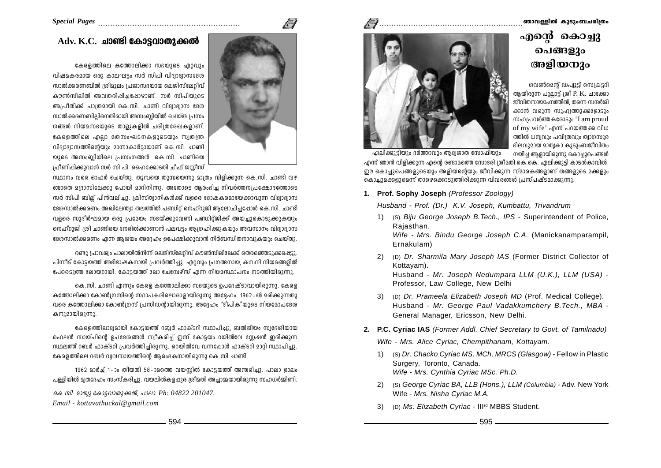#### ഞാവള്ളിൽ കുടുംബചരിത്രം

## എന്റെ കൊച്ചു ചെങ്ങളും അളിയനും

ഗവൺമെൻ് ഡപ്വൂട്ടി സെക്രട്ടറി ആയിരുന്ന പുല്ലാട്ട് ശ്രീ P. K. ചാക്കോ ജീവിതസായാഹ്നത്തിൽ, തന്നെ സന്ദർശി ക്കാൻ വരുന്ന സുഹ്വത്തുക്കളോടും സഹപ്രവർത്തകരോടും 'I am proud of my wife' എന്ന് പറയത്തക്ക വിധ ത്തിൽ ധന്നവും പവിശവും ത്വാഗസുര ഭിലവുമായ മാത്വകാ കുടുംബജീവിതം നയിച്ച ആളായിരുന്നു കൊച്ചുപെങ്ങൾ



ഏലിക്കുട്ടിയും ഭർത്താവും ആദ്യജാത സോഫിയും .<br>എന്ന് ഞാൻ വിളിക്കുന്ന എന്റെ രണ്ടാമത്തെ സോദരി ശ്രീമതി കെ.കെ. ഏലിക്കുട്ടി കാടൻകാവിൽ. ഈ കൊച്ചുപെങ്ങളുടെയും അളിയന്റെയും ജീവിക്കുന്ന സ്മാരകങ്ങളാണ് തങ്ങളുടെ മക്കളും കൊച്ചുമക്കളുമെന്ന് താഴെക്കൊടുത്തിരിക്കുന്ന വിവരങ്ങൾ പ്രസ്പഷ്ടമാക്കുന്നു.

1. Prof. Sophy Joseph (Professor Zoology)

Husband - Prof. (Dr.) K.V. Joseph. Kumbattu. Trivandrum

- 1) (S) Biju George Joseph B. Tech., IPS Superintendent of Police, Rajasthan. Wife - Mrs. Bindu George Joseph C.A. (Manickanamparampil. Ernakulam)
- 2) (D) Dr. Sharmila Mary Joseph IAS (Former District Collector of Kottavam). Husband - Mr. Joseph Nedumpara LLM (U.K.), LLM (USA) -Professor, Law College, New Delhi
- 3) (D) Dr. Prameela Elizabeth Joseph MD (Prof. Medical College). Husband - Mr. George Paul Vadakkumchery B. Tech., MBA -General Manager, Ericsson, New Delhi,
- 2. P.C. Cyriac IAS (Former Addl. Chief Secretary to Govt. of Tamilnadu) Wife - Mrs. Alice Cyriac, Chempithanam, Kottayam.
	- 1) (S) Dr. Chacko Cyriac MS, MCh, MRCS (Glasgow) Fellow in Plastic Surgery, Toronto, Canada. Wife - Mrs. Cynthia Cyriac MSc. Ph.D.
	- 2) (S) George Cyriac BA, LLB (Hons.), LLM (Columbia) Adv. New York Wife - Mrs. Nisha Cvriac M.A.
	- 3) (D) Ms. Elizabeth Cyriac III<sup>rd</sup> MBBS Student.

## $Adv. K.C.$  ചാണ്ടി കോട്ടവാതുക്കൽ

കേരളത്തിലെ കത്തോലിക്കാ സഭയുടെ ഏറ്റവും വിഷമകരമായ ഒരു കാലഘട്ടം സർ സിപി വിദ്വാഭ്വാസദേശ സാൽക്കരണബിൽ ശ്രീമൂലം പ്രജാസഭയായ ലെജിസ്ലേറിവ് കൗൺസിലിൽ അവതരിപ്പിച്ചപ്പോഴാണ്. സർ സിപിയുടെ അപ്രീതിക്ക് പാത്രമായി കെ.സി. ചാണ്ടി വിദ്വാഭ്വാസ ദേശ സാൽക്കരണബിലിനെതിരായി അസംബിയിൽ ചെയ്ത പ്രസം ഗങ്ങൾ നിയമസഭയുടെ താളുകളിൽ ചരിത്രരേഖകളാണ്. കേരളത്തിലെ എല്ലാ മതസംഘടനകളുടെയും സ്വതന്ത്ര വിദ്വാഭ്വാസത്തിന്റെയും മാഗ്നാകാർട്ടായാണ് കെ.സി. ചാണ്ടി യുടെ അസംബ്ലിയിലെ പ്രസംഗങ്ങൾ. കെ.സി. ചാണ്ടിയെ പ്രിണിപ്പിക്കുവാൻ സർ സി.പി. ഹൈക്കോടതി ചീഫ് ജസ്റ്റീസ്

സ്ഥാനം വരെ ഓഫർ ചെയ്തു. തൂമ്പയെ തൂമ്പയെന്നു മാത്രം വിളിക്കുന്ന കെ.സി. ചാണ്ടി വഴ ങ്ങാതെ മദ്രാസിലേക്കു പോയി മാറിനിന്നു. അതോടെ ആരംഭിച്ച നിവർത്തനപ്രക്ഷോഭത്തോടെ സർ സിപി ബില്ല് പിൻവലിച്ചു. ക്രിസ്ത്വാനികൾക്ക് വളരെ ദോഷകരമായേക്കാവുന്ന വിദ്വാദ്വാസ ദേശസാൽക്കരണം അഖിലേന്ത്വാ തലത്തിൽ പണ്ഡിറ് നെഹ്റുജി ആലോചിച്ചപ്പോൾ കെ.സി. ചാണ്ടി വളരെ സുദീർഘമായ ഒരു പ്രമേയം സഭയ്ക്കുവേണ്ടി പണ്ഡിറ്റ്ജിക്ക് അയച്ചുകൊടുക്കുകയും നെഹ്റുജി ശ്രീ ചാണ്ടിയെ നേരിൽക്കാണാൻ പലവട്ടം ആഗ്രഹിക്കുകയും അവസാനം വിദ്വാഭ്വാസ ദേശസാൽക്കരണം എന്ന ആശയം അദ്ദേഹം ഉപേക്ഷിക്കുവാൻ നിർബന്ധിതനാവുകയും ചെയ്തു.

 $\sqrt{ }$ 

രണ്ടു പ്രാവര്വം പാലായിൽനിന്ന് ലെജിസ്ലേറ്റീവ് കൗൺസിലിലേക്ക് തെരഞ്ഞെടുക്കപ്പെട്ടു. പിന്നീട് കോട്ടയത്ത് അഭിഭാഷകനായി പ്രവർത്തിച്ചു. ഏറ്റവും പ്രഗത്ഭനായ, കമ്പനി നിയമങ്ങളിൽ പേദെടുത്ത ലോയറായി. കോട്ടയത്ത് ലോ ചേമ്പേഴ്സ് എന്ന നിയമസ്ഥാപനം നടത്തിയിരുന്നു.

കെ.സി. ചാണ്ടി എന്നും കേരള കത്തോലിക്കാ സഭയുടെ ഉപദേഷ്ടാവായിരുന്നു. കേരള കത്തോലിക്കാ കോൺഗ്രസിന്റെ സ്ഥാപകരിലൊരാളായിരുന്നു അദ്ദേഹം. 1962-ൽ മരിക്കുന്നതു വരെ കത്തോലിക്കാ കോൺഗ്രസ് പ്രസിഡന്റായിരുന്നു. അദ്ദേഹം "ദീപിക"യുടെ നിയമോപദേശ കനുമായിരുന്നു.

കേരളത്തിലാദ്വമായി കോട്ടയത്ത് റബ്ബർ ഫാക്ടറി സ്ഥാപിച്ചു, ബൽജിയം സ്വദേശിയായ ഹെലൻ സായ്പിന്റെ ഉപദേശങ്ങൾ സ്വീകരിച്ച് ഇന്ന് കോട്ടയം റയിൽവേ സ്റ്റേഷൻ ഇരിക്കുന്ന സ്ഥലത്ത് റബർ ഫാക്ടറി പ്രവർത്തിച്ചിരുന്നു. റെയിൽവേ വന്നപ്പോൾ ഫാക്ടറി മാറ്റി സ്ഥാപിച്ചു. കേരളത്തിലെ റബർ വ്വവസായത്തിന്റെ ആരംഭകനായിരുന്നു കെ.സി.ചാണ്ടി.

1962 മാർച്ച് 1-ാം തീയതി 58-ാമത്തെ വയസ്സിൽ കോട്ടയത്ത് അന്തരിച്ചു. പാലാ ളാലം പള്ളിയിൽ മൃതദേഹം സംസ്കരിച്ചു. വയലിൽകളപ്പുര ശ്രീമതി അച്ചാമ്മയായിരുന്നു സഹധർമ്മിണി.

കെ. സി. മാത്യു കോട്ടവാതുക്കൽ, പാലാ. Ph: 04822 201047.

Email - kottavathuckal@gmail.com